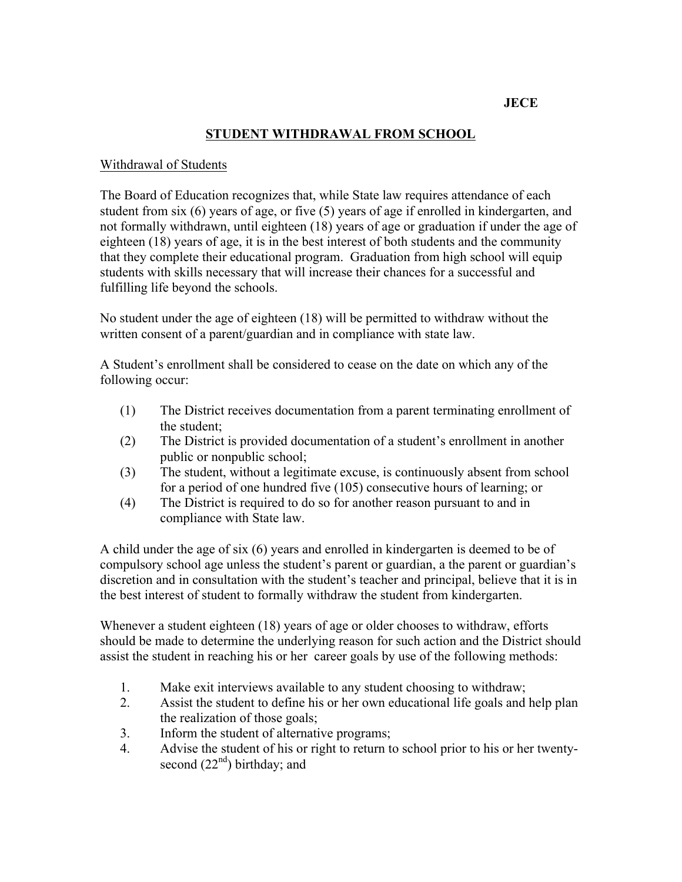# **JECE**

## **STUDENT WITHDRAWAL FROM SCHOOL**

#### Withdrawal of Students

The Board of Education recognizes that, while State law requires attendance of each student from six (6) years of age, or five (5) years of age if enrolled in kindergarten, and not formally withdrawn, until eighteen (18) years of age or graduation if under the age of eighteen (18) years of age, it is in the best interest of both students and the community that they complete their educational program. Graduation from high school will equip students with skills necessary that will increase their chances for a successful and fulfilling life beyond the schools.

No student under the age of eighteen (18) will be permitted to withdraw without the written consent of a parent/guardian and in compliance with state law.

A Student's enrollment shall be considered to cease on the date on which any of the following occur:

- (1) The District receives documentation from a parent terminating enrollment of the student;
- public or nonpublic school; (2) The District is provided documentation of a student's enrollment in another
- (3) The student, without a legitimate excuse, is continuously absent from school for a period of one hundred five (105) consecutive hours of learning; or
- (4) The District is required to do so for another reason pursuant to and in compliance with State law.

A child under the age of six (6) years and enrolled in kindergarten is deemed to be of compulsory school age unless the student's parent or guardian, a the parent or guardian's discretion and in consultation with the student's teacher and principal, believe that it is in the best interest of student to formally withdraw the student from kindergarten.

Whenever a student eighteen (18) years of age or older chooses to withdraw, efforts should be made to determine the underlying reason for such action and the District should assist the student in reaching his or her career goals by use of the following methods:

- 1. Make exit interviews available to any student choosing to withdraw;
- 2. Assist the student to define his or her own educational life goals and help plan the realization of those goals;
- 3. Inform the student of alternative programs;
- 4. Advise the student of his or right to return to school prior to his or her twentysecond  $(22<sup>nd</sup>)$  birthday; and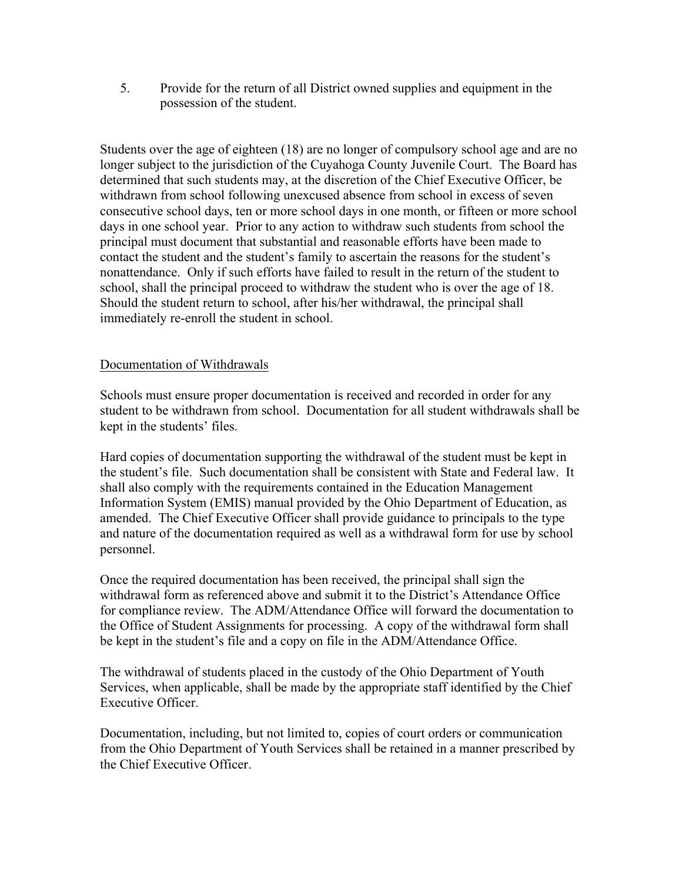5. Provide for the return of all District owned supplies and equipment in the possession of the student.

Students over the age of eighteen (18) are no longer of compulsory school age and are no longer subject to the jurisdiction of the Cuyahoga County Juvenile Court. The Board has determined that such students may, at the discretion of the Chief Executive Officer, be withdrawn from school following unexcused absence from school in excess of seven consecutive school days, ten or more school days in one month, or fifteen or more school days in one school year. Prior to any action to withdraw such students from school the principal must document that substantial and reasonable efforts have been made to contact the student and the student's family to ascertain the reasons for the student's nonattendance. Only if such efforts have failed to result in the return of the student to school, shall the principal proceed to withdraw the student who is over the age of 18. Should the student return to school, after his/her withdrawal, the principal shall immediately re-enroll the student in school.

## Documentation of Withdrawals

Schools must ensure proper documentation is received and recorded in order for any student to be withdrawn from school. Documentation for all student withdrawals shall be kept in the students' files.

Hard copies of documentation supporting the withdrawal of the student must be kept in the student's file. Such documentation shall be consistent with State and Federal law. It shall also comply with the requirements contained in the Education Management Information System (EMIS) manual provided by the Ohio Department of Education, as amended. The Chief Executive Officer shall provide guidance to principals to the type and nature of the documentation required as well as a withdrawal form for use by school personnel.

withdrawal form as referenced above and submit it to the District's Attendance Office Once the required documentation has been received, the principal shall sign the for compliance review. The ADM/Attendance Office will forward the documentation to the Office of Student Assignments for processing. A copy of the withdrawal form shall be kept in the student's file and a copy on file in the ADM/Attendance Office.

The withdrawal of students placed in the custody of the Ohio Department of Youth Services, when applicable, shall be made by the appropriate staff identified by the Chief Executive Officer.

Documentation, including, but not limited to, copies of court orders or communication from the Ohio Department of Youth Services shall be retained in a manner prescribed by the Chief Executive Officer.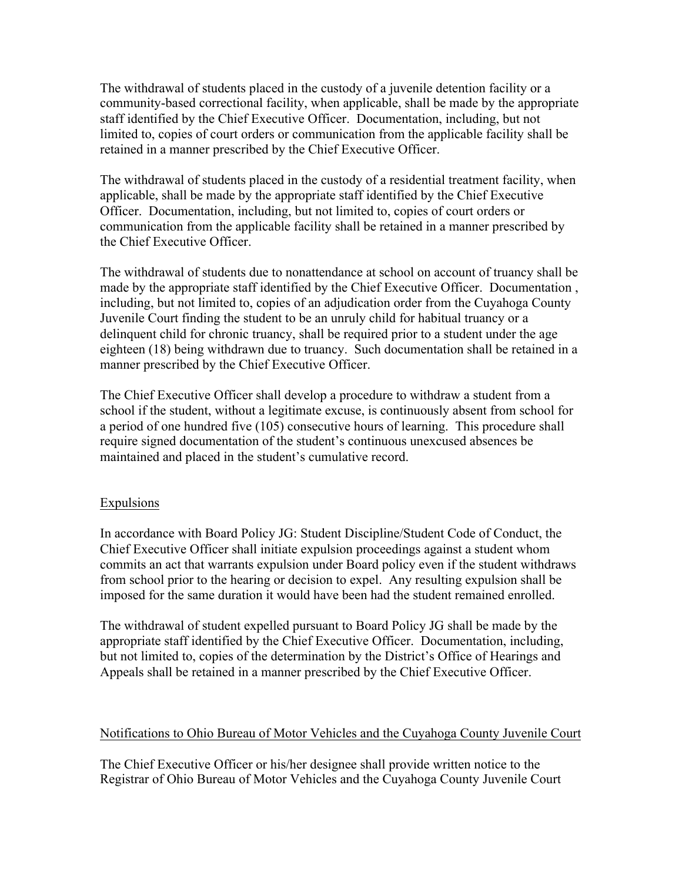The withdrawal of students placed in the custody of a juvenile detention facility or a community-based correctional facility, when applicable, shall be made by the appropriate staff identified by the Chief Executive Officer. Documentation, including, but not limited to, copies of court orders or communication from the applicable facility shall be retained in a manner prescribed by the Chief Executive Officer.

The withdrawal of students placed in the custody of a residential treatment facility, when applicable, shall be made by the appropriate staff identified by the Chief Executive Officer. Documentation, including, but not limited to, copies of court orders or communication from the applicable facility shall be retained in a manner prescribed by the Chief Executive Officer.

The withdrawal of students due to nonattendance at school on account of truancy shall be made by the appropriate staff identified by the Chief Executive Officer. Documentation , including, but not limited to, copies of an adjudication order from the Cuyahoga County Juvenile Court finding the student to be an unruly child for habitual truancy or a delinquent child for chronic truancy, shall be required prior to a student under the age eighteen (18) being withdrawn due to truancy. Such documentation shall be retained in a manner prescribed by the Chief Executive Officer.

 a period of one hundred five (105) consecutive hours of learning. This procedure shall The Chief Executive Officer shall develop a procedure to withdraw a student from a school if the student, without a legitimate excuse, is continuously absent from school for require signed documentation of the student's continuous unexcused absences be maintained and placed in the student's cumulative record.

### Expulsions

In accordance with Board Policy JG: Student Discipline/Student Code of Conduct, the Chief Executive Officer shall initiate expulsion proceedings against a student whom commits an act that warrants expulsion under Board policy even if the student withdraws from school prior to the hearing or decision to expel. Any resulting expulsion shall be imposed for the same duration it would have been had the student remained enrolled.

The withdrawal of student expelled pursuant to Board Policy JG shall be made by the appropriate staff identified by the Chief Executive Officer. Documentation, including, but not limited to, copies of the determination by the District's Office of Hearings and Appeals shall be retained in a manner prescribed by the Chief Executive Officer.

#### Notifications to Ohio Bureau of Motor Vehicles and the Cuvahoga County Juvenile Court

The Chief Executive Officer or his/her designee shall provide written notice to the Registrar of Ohio Bureau of Motor Vehicles and the Cuyahoga County Juvenile Court